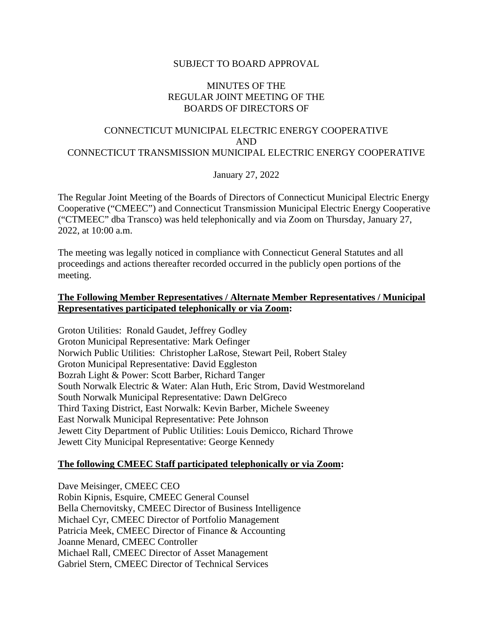## SUBJECT TO BOARD APPROVAL

### MINUTES OF THE REGULAR JOINT MEETING OF THE BOARDS OF DIRECTORS OF

## CONNECTICUT MUNICIPAL ELECTRIC ENERGY COOPERATIVE AND CONNECTICUT TRANSMISSION MUNICIPAL ELECTRIC ENERGY COOPERATIVE

January 27, 2022

The Regular Joint Meeting of the Boards of Directors of Connecticut Municipal Electric Energy Cooperative ("CMEEC") and Connecticut Transmission Municipal Electric Energy Cooperative ("CTMEEC" dba Transco) was held telephonically and via Zoom on Thursday, January 27, 2022, at 10:00 a.m.

The meeting was legally noticed in compliance with Connecticut General Statutes and all proceedings and actions thereafter recorded occurred in the publicly open portions of the meeting.

## **The Following Member Representatives / Alternate Member Representatives / Municipal Representatives participated telephonically or via Zoom:**

Groton Utilities: Ronald Gaudet, Jeffrey Godley Groton Municipal Representative: Mark Oefinger Norwich Public Utilities: Christopher LaRose, Stewart Peil, Robert Staley Groton Municipal Representative: David Eggleston Bozrah Light & Power: Scott Barber, Richard Tanger South Norwalk Electric & Water: Alan Huth, Eric Strom, David Westmoreland South Norwalk Municipal Representative: Dawn DelGreco Third Taxing District, East Norwalk: Kevin Barber, Michele Sweeney East Norwalk Municipal Representative: Pete Johnson Jewett City Department of Public Utilities: Louis Demicco, Richard Throwe Jewett City Municipal Representative: George Kennedy

## **The following CMEEC Staff participated telephonically or via Zoom:**

Dave Meisinger, CMEEC CEO Robin Kipnis, Esquire, CMEEC General Counsel Bella Chernovitsky, CMEEC Director of Business Intelligence Michael Cyr, CMEEC Director of Portfolio Management Patricia Meek, CMEEC Director of Finance & Accounting Joanne Menard, CMEEC Controller Michael Rall, CMEEC Director of Asset Management Gabriel Stern, CMEEC Director of Technical Services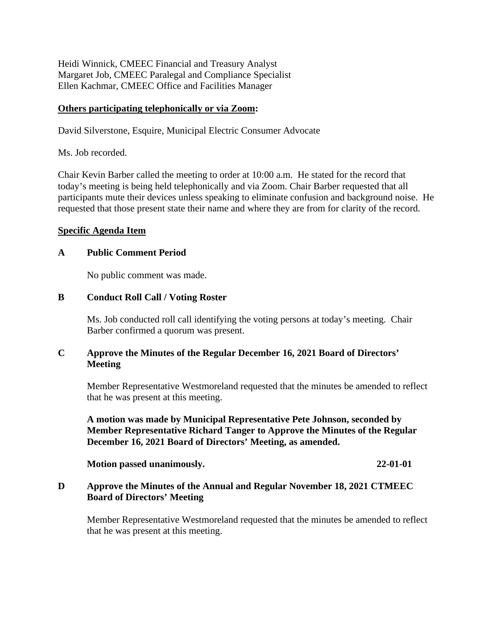Heidi Winnick, CMEEC Financial and Treasury Analyst Margaret Job, CMEEC Paralegal and Compliance Specialist Ellen Kachmar, CMEEC Office and Facilities Manager

## **Others participating telephonically or via Zoom:**

David Silverstone, Esquire, Municipal Electric Consumer Advocate

Ms. Job recorded.

Chair Kevin Barber called the meeting to order at 10:00 a.m. He stated for the record that today's meeting is being held telephonically and via Zoom. Chair Barber requested that all participants mute their devices unless speaking to eliminate confusion and background noise. He requested that those present state their name and where they are from for clarity of the record.

## **Specific Agenda Item**

## **A Public Comment Period**

No public comment was made.

## **B Conduct Roll Call / Voting Roster**

Ms. Job conducted roll call identifying the voting persons at today's meeting. Chair Barber confirmed a quorum was present.

## **C Approve the Minutes of the Regular December 16, 2021 Board of Directors' Meeting**

Member Representative Westmoreland requested that the minutes be amended to reflect that he was present at this meeting.

**A motion was made by Municipal Representative Pete Johnson, seconded by Member Representative Richard Tanger to Approve the Minutes of the Regular December 16, 2021 Board of Directors' Meeting, as amended.**

**Motion passed unanimously. 22-01-01**

## **D Approve the Minutes of the Annual and Regular November 18, 2021 CTMEEC Board of Directors' Meeting**

Member Representative Westmoreland requested that the minutes be amended to reflect that he was present at this meeting.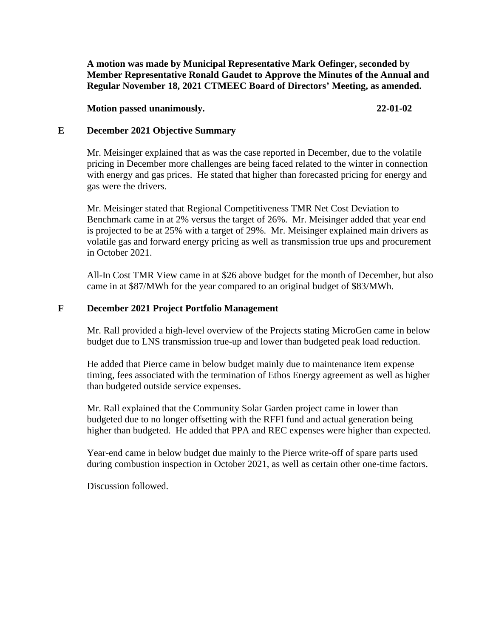**A motion was made by Municipal Representative Mark Oefinger, seconded by Member Representative Ronald Gaudet to Approve the Minutes of the Annual and Regular November 18, 2021 CTMEEC Board of Directors' Meeting, as amended.**

**Motion passed unanimously. 22-01-02**

## **E December 2021 Objective Summary**

Mr. Meisinger explained that as was the case reported in December, due to the volatile pricing in December more challenges are being faced related to the winter in connection with energy and gas prices. He stated that higher than forecasted pricing for energy and gas were the drivers.

Mr. Meisinger stated that Regional Competitiveness TMR Net Cost Deviation to Benchmark came in at 2% versus the target of 26%. Mr. Meisinger added that year end is projected to be at 25% with a target of 29%. Mr. Meisinger explained main drivers as volatile gas and forward energy pricing as well as transmission true ups and procurement in October 2021.

All-In Cost TMR View came in at \$26 above budget for the month of December, but also came in at \$87/MWh for the year compared to an original budget of \$83/MWh.

## **F December 2021 Project Portfolio Management**

Mr. Rall provided a high-level overview of the Projects stating MicroGen came in below budget due to LNS transmission true-up and lower than budgeted peak load reduction.

He added that Pierce came in below budget mainly due to maintenance item expense timing, fees associated with the termination of Ethos Energy agreement as well as higher than budgeted outside service expenses.

Mr. Rall explained that the Community Solar Garden project came in lower than budgeted due to no longer offsetting with the RFFI fund and actual generation being higher than budgeted. He added that PPA and REC expenses were higher than expected.

Year-end came in below budget due mainly to the Pierce write-off of spare parts used during combustion inspection in October 2021, as well as certain other one-time factors.

Discussion followed.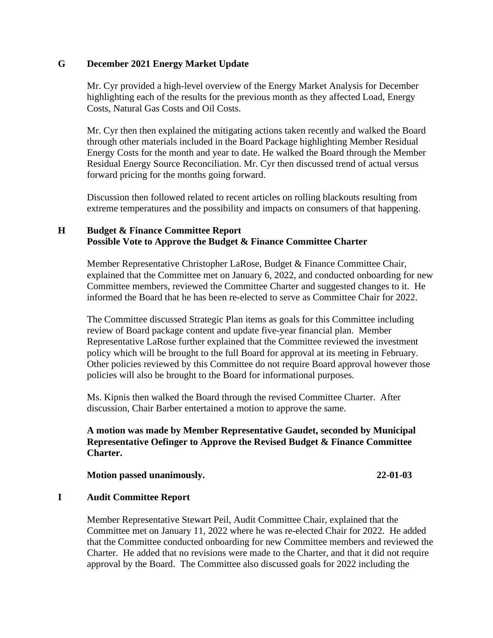## **G December 2021 Energy Market Update**

Mr. Cyr provided a high-level overview of the Energy Market Analysis for December highlighting each of the results for the previous month as they affected Load, Energy Costs, Natural Gas Costs and Oil Costs.

Mr. Cyr then then explained the mitigating actions taken recently and walked the Board through other materials included in the Board Package highlighting Member Residual Energy Costs for the month and year to date. He walked the Board through the Member Residual Energy Source Reconciliation. Mr. Cyr then discussed trend of actual versus forward pricing for the months going forward.

Discussion then followed related to recent articles on rolling blackouts resulting from extreme temperatures and the possibility and impacts on consumers of that happening.

## **H Budget & Finance Committee Report Possible Vote to Approve the Budget & Finance Committee Charter**

Member Representative Christopher LaRose, Budget & Finance Committee Chair, explained that the Committee met on January 6, 2022, and conducted onboarding for new Committee members, reviewed the Committee Charter and suggested changes to it. He informed the Board that he has been re-elected to serve as Committee Chair for 2022.

The Committee discussed Strategic Plan items as goals for this Committee including review of Board package content and update five-year financial plan. Member Representative LaRose further explained that the Committee reviewed the investment policy which will be brought to the full Board for approval at its meeting in February. Other policies reviewed by this Committee do not require Board approval however those policies will also be brought to the Board for informational purposes.

Ms. Kipnis then walked the Board through the revised Committee Charter. After discussion, Chair Barber entertained a motion to approve the same.

## **A motion was made by Member Representative Gaudet, seconded by Municipal Representative Oefinger to Approve the Revised Budget & Finance Committee Charter.**

#### **Motion passed unanimously. 22-01-03**

## **I Audit Committee Report**

Member Representative Stewart Peil, Audit Committee Chair, explained that the Committee met on January 11, 2022 where he was re-elected Chair for 2022. He added that the Committee conducted onboarding for new Committee members and reviewed the Charter. He added that no revisions were made to the Charter, and that it did not require approval by the Board. The Committee also discussed goals for 2022 including the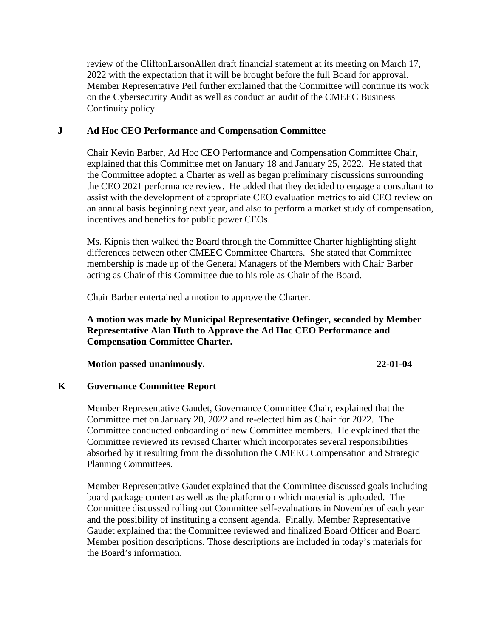review of the CliftonLarsonAllen draft financial statement at its meeting on March 17, 2022 with the expectation that it will be brought before the full Board for approval. Member Representative Peil further explained that the Committee will continue its work on the Cybersecurity Audit as well as conduct an audit of the CMEEC Business Continuity policy.

### **J Ad Hoc CEO Performance and Compensation Committee**

Chair Kevin Barber, Ad Hoc CEO Performance and Compensation Committee Chair, explained that this Committee met on January 18 and January 25, 2022. He stated that the Committee adopted a Charter as well as began preliminary discussions surrounding the CEO 2021 performance review. He added that they decided to engage a consultant to assist with the development of appropriate CEO evaluation metrics to aid CEO review on an annual basis beginning next year, and also to perform a market study of compensation, incentives and benefits for public power CEOs.

Ms. Kipnis then walked the Board through the Committee Charter highlighting slight differences between other CMEEC Committee Charters. She stated that Committee membership is made up of the General Managers of the Members with Chair Barber acting as Chair of this Committee due to his role as Chair of the Board.

Chair Barber entertained a motion to approve the Charter.

## **A motion was made by Municipal Representative Oefinger, seconded by Member Representative Alan Huth to Approve the Ad Hoc CEO Performance and Compensation Committee Charter.**

**Motion passed unanimously. 22-01-04**

### **K Governance Committee Report**

Member Representative Gaudet, Governance Committee Chair, explained that the Committee met on January 20, 2022 and re-elected him as Chair for 2022. The Committee conducted onboarding of new Committee members. He explained that the Committee reviewed its revised Charter which incorporates several responsibilities absorbed by it resulting from the dissolution the CMEEC Compensation and Strategic Planning Committees.

Member Representative Gaudet explained that the Committee discussed goals including board package content as well as the platform on which material is uploaded. The Committee discussed rolling out Committee self-evaluations in November of each year and the possibility of instituting a consent agenda. Finally, Member Representative Gaudet explained that the Committee reviewed and finalized Board Officer and Board Member position descriptions. Those descriptions are included in today's materials for the Board's information.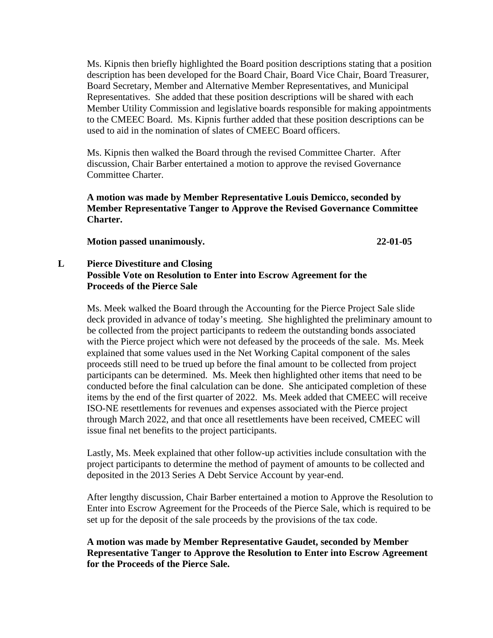Ms. Kipnis then briefly highlighted the Board position descriptions stating that a position description has been developed for the Board Chair, Board Vice Chair, Board Treasurer, Board Secretary, Member and Alternative Member Representatives, and Municipal Representatives. She added that these position descriptions will be shared with each Member Utility Commission and legislative boards responsible for making appointments to the CMEEC Board. Ms. Kipnis further added that these position descriptions can be used to aid in the nomination of slates of CMEEC Board officers.

Ms. Kipnis then walked the Board through the revised Committee Charter. After discussion, Chair Barber entertained a motion to approve the revised Governance Committee Charter.

**A motion was made by Member Representative Louis Demicco, seconded by Member Representative Tanger to Approve the Revised Governance Committee Charter.**

**Motion passed unanimously. 22-01-05**

## **L Pierce Divestiture and Closing Possible Vote on Resolution to Enter into Escrow Agreement for the Proceeds of the Pierce Sale**

Ms. Meek walked the Board through the Accounting for the Pierce Project Sale slide deck provided in advance of today's meeting. She highlighted the preliminary amount to be collected from the project participants to redeem the outstanding bonds associated with the Pierce project which were not defeased by the proceeds of the sale. Ms. Meek explained that some values used in the Net Working Capital component of the sales proceeds still need to be trued up before the final amount to be collected from project participants can be determined. Ms. Meek then highlighted other items that need to be conducted before the final calculation can be done. She anticipated completion of these items by the end of the first quarter of 2022. Ms. Meek added that CMEEC will receive ISO-NE resettlements for revenues and expenses associated with the Pierce project through March 2022, and that once all resettlements have been received, CMEEC will issue final net benefits to the project participants.

Lastly, Ms. Meek explained that other follow-up activities include consultation with the project participants to determine the method of payment of amounts to be collected and deposited in the 2013 Series A Debt Service Account by year-end.

After lengthy discussion, Chair Barber entertained a motion to Approve the Resolution to Enter into Escrow Agreement for the Proceeds of the Pierce Sale, which is required to be set up for the deposit of the sale proceeds by the provisions of the tax code.

**A motion was made by Member Representative Gaudet, seconded by Member Representative Tanger to Approve the Resolution to Enter into Escrow Agreement for the Proceeds of the Pierce Sale.**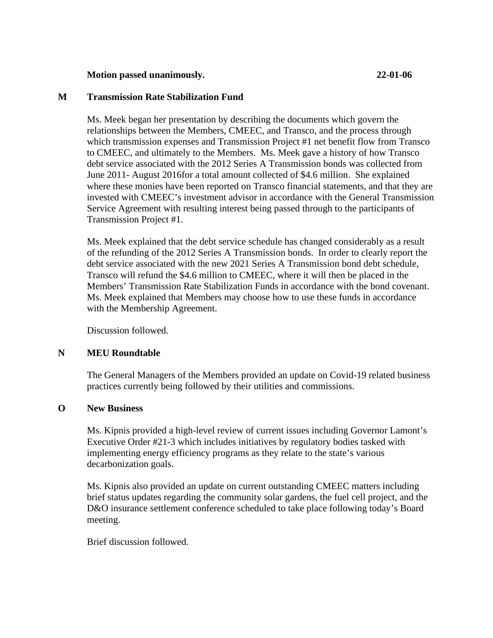### **Motion passed unanimously. 22-01-06**

### **M Transmission Rate Stabilization Fund**

Ms. Meek began her presentation by describing the documents which govern the relationships between the Members, CMEEC, and Transco, and the process through which transmission expenses and Transmission Project #1 net benefit flow from Transco to CMEEC, and ultimately to the Members. Ms. Meek gave a history of how Transco debt service associated with the 2012 Series A Transmission bonds was collected from June 2011- August 2016for a total amount collected of \$4.6 million. She explained where these monies have been reported on Transco financial statements, and that they are invested with CMEEC's investment advisor in accordance with the General Transmission Service Agreement with resulting interest being passed through to the participants of Transmission Project #1.

Ms. Meek explained that the debt service schedule has changed considerably as a result of the refunding of the 2012 Series A Transmission bonds. In order to clearly report the debt service associated with the new 2021 Series A Transmission bond debt schedule, Transco will refund the \$4.6 million to CMEEC, where it will then be placed in the Members' Transmission Rate Stabilization Funds in accordance with the bond covenant. Ms. Meek explained that Members may choose how to use these funds in accordance with the Membership Agreement.

Discussion followed.

#### **N MEU Roundtable**

The General Managers of the Members provided an update on Covid-19 related business practices currently being followed by their utilities and commissions.

### **O New Business**

Ms. Kipnis provided a high-level review of current issues including Governor Lamont's Executive Order #21-3 which includes initiatives by regulatory bodies tasked with implementing energy efficiency programs as they relate to the state's various decarbonization goals.

Ms. Kipnis also provided an update on current outstanding CMEEC matters including brief status updates regarding the community solar gardens, the fuel cell project, and the D&O insurance settlement conference scheduled to take place following today's Board meeting.

Brief discussion followed.